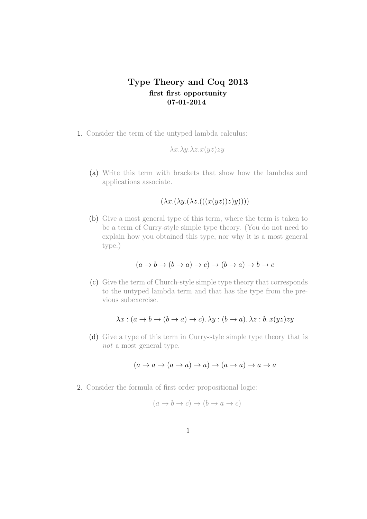# **Type Theory and Coq 2013 first first opportunity 07-01-2014**

1. Consider the term of the untyped lambda calculus:

$$
\lambda x. \lambda y. \lambda z. x(yz) zy
$$

(a) Write this term with brackets that show how the lambdas and applications associate.

 $(\lambda x.(\lambda y.(\lambda z.(((x(yz))z)y))))$ 

(b) Give a most general type of this term, where the term is taken to be a term of Curry-style simple type theory. (You do not need to explain how you obtained this type, nor why it is a most general type.)

$$
(a \to b \to (b \to a) \to c) \to (b \to a) \to b \to c
$$

(c) Give the term of Church-style simple type theory that corresponds to the untyped lambda term and that has the type from the previous subexercise.

$$
\lambda x : (a \to b \to (b \to a) \to c). \lambda y : (b \to a). \lambda z : b. x(yz)zy
$$

(d) Give a type of this term in Curry-style simple type theory that is *not* a most general type.

$$
(a \to a \to (a \to a) \to a) \to (a \to a) \to a \to a
$$

2. Consider the formula of first order propositional logic:

$$
(a \to b \to c) \to (b \to a \to c)
$$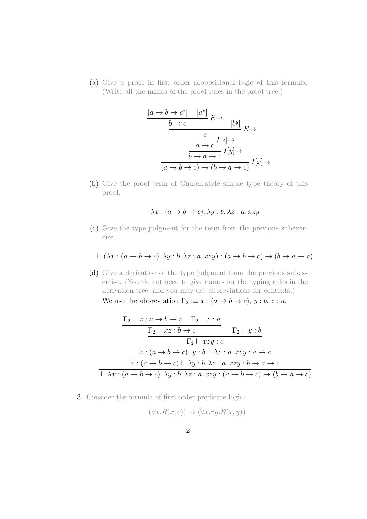(a) Give a proof in first order propositional logic of this formula. (Write all the names of the proof rules in the proof tree.)

$$
\frac{[a \to b \to c^x] \quad [a^z]}{b \to c} E \to \frac{[b^y]}{[b^y]} E \to
$$

$$
\frac{c}{a \to c} I[z] \to
$$

$$
\frac{b \to a \to c}{(a \to b \to c) \to (b \to a \to c)} I[x] \to
$$

(b) Give the proof term of Church-style simple type theory of this proof.

$$
\lambda x : (a \to b \to c). \lambda y : b. \lambda z : a. xzy
$$

(c) Give the type judgment for the term from the previous subexercise.

$$
\vdash (\lambda x : (a \to b \to c). \lambda y : b. \lambda z : a. xzy) : (a \to b \to c) \to (b \to a \to c)
$$

(d) Give a derivation of the type judgment from the previous subexercise. (You do not need to give names for the typing rules in the derivation tree, and you may use abbreviations for contexts.) We use the abbreviation  $\Gamma_2 := x : (a \to b \to c), y : b, z : a$ .

$$
\frac{\Gamma_2 \vdash x : a \to b \to c \qquad \Gamma_2 \vdash z : a}{\Gamma_2 \vdash xz : b \to c \qquad \qquad \Gamma_2 \vdash y : b}
$$
\n
$$
\frac{\Gamma_2 \vdash xz : b \to c}{x : (a \to b \to c), y : b \vdash \lambda z : a. xzy : a \to c}
$$
\n
$$
\frac{x : (a \to b \to c) \vdash \lambda y : b. \lambda z : a. xzy : b \to a \to c}{\vdash \lambda x : (a \to b \to c). \lambda y : b. \lambda z : a. xzy : (a \to b \to c) \to (b \to a \to c)}
$$

3. Consider the formula of first order predicate logic:

$$
(\forall x. R(x, c)) \to (\forall x. \exists y. R(x, y))
$$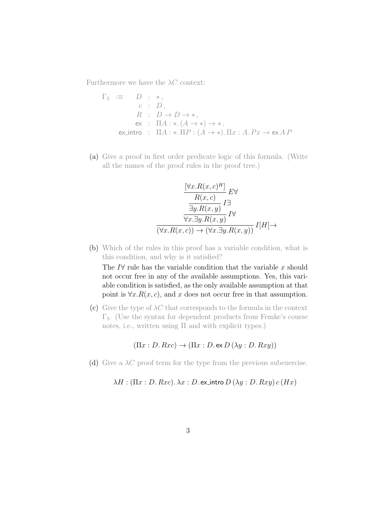Furthermore we have the  $\lambda C$  context:

$$
\Gamma_3 := D : *,\nc : D, \nR : D \to D \to *, \nex : \Pi A : *.(A \to *) \to *, \nexintro : \Pi A : *.\Pi P : (A \to *).\Pi x : A.Px \to ex\Lambda P
$$

(a) Give a proof in first order predicate logic of this formula. (Write all the names of the proof rules in the proof tree.)

$$
\frac{\left[\forall x. R(x, c)^{H}\right]}{R(x, c)} E \forall
$$
  
\n
$$
\frac{\frac{\exists y. R(x, y)}{\exists y. R(x, y)} I \exists}{\forall x. \exists y. R(x, y)} I \forall
$$
  
\n
$$
\overline{(\forall x. R(x, c)) \rightarrow (\forall x. \exists y. R(x, y))} I[H] \rightarrow
$$

(b) Which of the rules in this proof has a variable condition, what is this condition, and why is it satisfied?

The *I∀* rule has the variable condition that the variable *x* should not occur free in any of the available assumptions. Yes, this variable condition is satisfied, as the only available assumption at that point is  $\forall x. R(x, c)$ , and *x* does not occur free in that assumption.

(c) Give the type of  $\lambda C$  that corresponds to the formula in the context Γ3. (Use the syntax for dependent products from Femke's course notes, i.e., written using Π and with explicit types.)

 $(\Pi x : D. Rxc) \rightarrow (\Pi x : D. \text{ex } D (\lambda y : D. Rxy))$ 

(d) Give a *λC* proof term for the type from the previous subexercise.

*λH* : (Π*x* : *D. Rxc*)*. λx* : *D.* ex\_intro  $D(\lambda y : D.Rxy)$  *c* (*Hx*)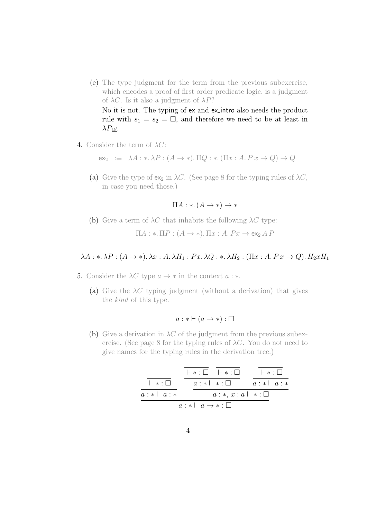(e) The type judgment for the term from the previous subexercise, which encodes a proof of first order predicate logic, is a judgment of *λC*. Is it also a judgment of *λP*?

No it is not. The typing of ex and ex intro also needs the product rule with  $s_1 = s_2 = \square$ , and therefore we need to be at least in *λP ω*.

4. Consider the term of *λC*:

 $ex_2 := \lambda A : * \lambda P : (A \to *)$ .  $\Pi Q : * ( \Pi x : A P x \to Q ) \to Q$ 

(a) Give the type of  $ex_2$  in  $\lambda C$ . (See page 8 for the typing rules of  $\lambda C$ , in case you need those.)

 $\Pi A : * (A \rightarrow *) \rightarrow *$ 

(b) Give a term of  $\lambda C$  that inhabits the following  $\lambda C$  type:

 $\Pi A : * \Pi P : (A \rightarrow *)$ .  $\Pi x : A P x \rightarrow e x_2 A P$ 

### $\lambda A : * \lambda P : (A \to *)$ .  $\lambda x : A \cdot \lambda H_1 : Px \cdot \lambda Q : * \lambda H_2 : (\Pi x : A \cdot Px \to Q)$ .  $H_2 x H_1$

- 5. Consider the  $\lambda C$  type  $a \to *$  in the context  $a : *$ .
	- (a) Give the  $\lambda C$  typing judgment (without a derivation) that gives the *kind* of this type.

$$
a: * \vdash (a \to *) : \Box
$$

(b) Give a derivation in  $\lambda C$  of the judgment from the previous subexercise. (See page 8 for the typing rules of  $\lambda C$ . You do not need to give names for the typing rules in the derivation tree.)

|                                      |                              | $\vdash * \cdot \Box$ $\vdash * \cdot \Box$ | $\vdash * \cdot \Box$ |
|--------------------------------------|------------------------------|---------------------------------------------|-----------------------|
| $\vdash * \cdot \Box$                | $a: * \vdash * : \Box$       |                                             | $a: * \vdash a: *$    |
| $a: * \vdash a: *$                   | $a:\ast, x:a\vdash\ast:\Box$ |                                             |                       |
| $a: * \vdash a \rightarrow * : \Box$ |                              |                                             |                       |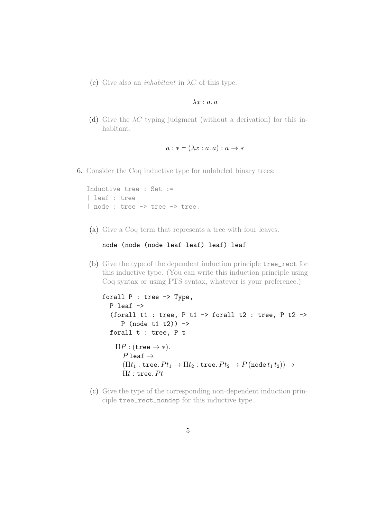(c) Give also an *inhabitant* in *λC* of this type.

#### *λx* : *a. a*

(d) Give the *λC* typing judgment (without a derivation) for this inhabitant.

$$
a: * \vdash (\lambda x : a.a) : a \to *
$$

6. Consider the Coq inductive type for unlabeled binary trees:

```
Inductive tree : Set :=
| leaf : tree
| node : tree -> tree -> tree.
```
(a) Give a Coq term that represents a tree with four leaves.

#### node (node (node leaf leaf) leaf) leaf

(b) Give the type of the dependent induction principle tree\_rect for this inductive type. (You can write this induction principle using Coq syntax or using PTS syntax, whatever is your preference.)

```
forall P : tree -> Type,
  P leaf ->
   (forall t1 : tree, P t1 -> forall t2 : tree, P t2 ->
       P (node t1 t2) ->
  forall t : tree, P t
    \Pi P : (tree \rightarrow *).
       P leaf \rightarrow(\Pi t_1 : \text{tree. } Pt_1 \to \Pi t_2 : \text{tree. } Pt_2 \to P \text{ (node } t_1 t_2)) \to\Pi t : tree. Pt
```
(c) Give the type of the corresponding non-dependent induction principle tree\_rect\_nondep for this inductive type.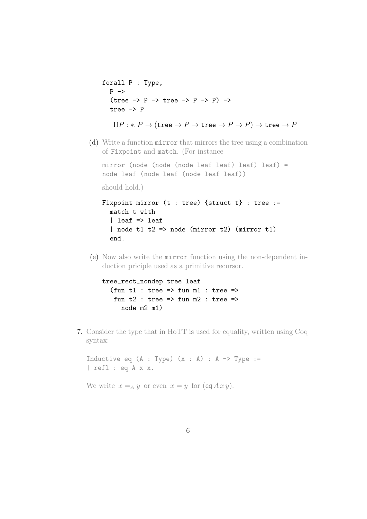```
forall P : Type,
   P \rightarrow(tree \rightarrow P \rightarrow tree \rightarrow P \rightarrow P) ->
   tree -> P
     \Pi P : * P \to (\text{tree} \to P \to \text{tree} \to P \to P) \to \text{tree} \to P
```
(d) Write a function mirror that mirrors the tree using a combination of Fixpoint and match. (For instance

mirror (node (node (node leaf leaf) leaf) leaf) = node leaf (node leaf (node leaf leaf)) should hold.)

```
Fixpoint mirror (t : tree) {struct t} : tree :=
 match t with
  | leaf => leaf
  | node t1 t2 => node (minrot 2) (minrot 1)end.
```
(e) Now also write the mirror function using the non-dependent induction priciple used as a primitive recursor.

```
tree_rect_nondep tree leaf
  (fun t1 : tree => fun m1 : tree =>
   fun t2 : tree => fun m2 : tree =>
     node m2 m1)
```
7. Consider the type that in HoTT is used for equality, written using Coq syntax:

Inductive eq  $(A : Type)$   $(x : A) : A \rightarrow Type :=$ | refl : eq A x x.

We write  $x = A y$  or even  $x = y$  for  $(\text{eq } A x y)$ .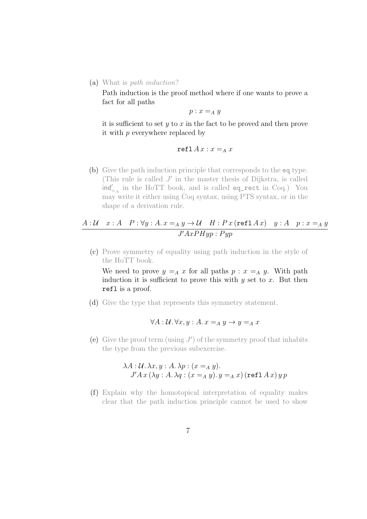(a) What is *path induction*?

Path induction is the proof method where if one wants to prove a fact for all paths

$$
p:x=_Ay
$$

it is sufficient to set *y* to *x* in the fact to be proved and then prove it with *p* everywhere replaced by

$$
\mathtt{refl}\, A\, x : x =_A x
$$

(b) Give the path induction principle that corresponds to the eq type. (This rule is called *J ′* in the master thesis of Dijkstra, is called ind*′* =*<sup>A</sup>* in the HoTT book, and is called eq\_rect in Coq.) You may write it either using Coq syntax, using PTS syntax, or in the shape of a derivation rule.

## $A: U \quad x:A \quad P: \forall y:A. \ x =_A y \rightarrow U \quad H: P \ x \ (\texttt{refl} \ A \ x) \quad y:A \quad p: x=_A y$  $J'AxPHyp: Pyp$

(c) Prove symmetry of equality using path induction in the style of the HoTT book.

We need to prove  $y = A x$  for all paths  $p : x = A y$ . With path induction it is sufficient to prove this with *y* set to *x*. But then refl is a proof.

(d) Give the type that represents this symmetry statement.

$$
\forall A: \mathcal{U}.\,\forall x, y: A. \,x =_A y \rightarrow y =_A x
$$

(e) Give the proof term (using *J ′* ) of the symmetry proof that inhabits the type from the previous subexercise.

$$
\lambda A: U. \lambda x, y: A. \lambda p: (x =_A y).
$$
  

$$
J'Ax (\lambda y: A. \lambda q: (x =_A y). y =_A x) (\text{refl } A x) y p
$$

(f) Explain why the homotopical interpretation of equality makes clear that the path induction principle cannot be used to show